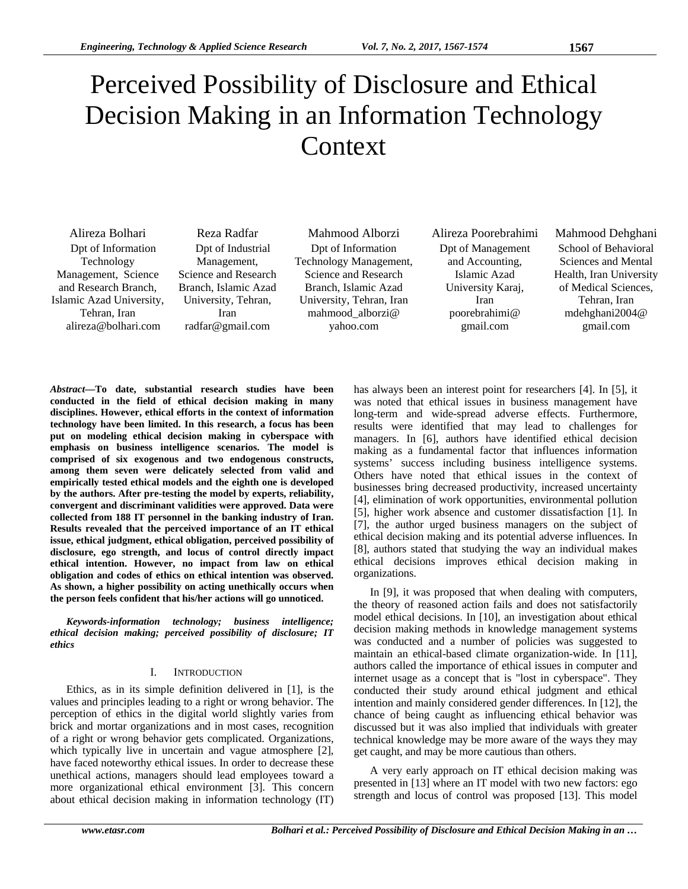# Perceived Possibility of Disclosure and Ethical Decision Making in an Information Technology Context

Dpt of Information Technology Management, Science and Research Branch, Islamic Azad University, Tehran, Iran alireza@bolhari.com

Dpt of Industrial Management, Science and Research Branch, Islamic Azad University, Tehran, Iran radfar@gmail.com

Alireza Bolhari Reza Radfar Mahmood Alborzi Alireza Poorebrahimi Mahmood Dehghani Dpt of Information Technology Management, Science and Research Branch, Islamic Azad University, Tehran, Iran mahmood\_alborzi@ yahoo.com

Dpt of Management and Accounting, Islamic Azad University Karaj, Iran poorebrahimi@ gmail.com

School of Behavioral Sciences and Mental Health, Iran University of Medical Sciences, Tehran, Iran mdehghani2004@ gmail.com

*Abstract***—To date, substantial research studies have been conducted in the field of ethical decision making in many disciplines. However, ethical efforts in the context of information technology have been limited. In this research, a focus has been put on modeling ethical decision making in cyberspace with emphasis on business intelligence scenarios. The model is comprised of six exogenous and two endogenous constructs, among them seven were delicately selected from valid and empirically tested ethical models and the eighth one is developed by the authors. After pre-testing the model by experts, reliability, convergent and discriminant validities were approved. Data were collected from 188 IT personnel in the banking industry of Iran. Results revealed that the perceived importance of an IT ethical issue, ethical judgment, ethical obligation, perceived possibility of disclosure, ego strength, and locus of control directly impact ethical intention. However, no impact from law on ethical obligation and codes of ethics on ethical intention was observed. As shown, a higher possibility on acting unethically occurs when the person feels confident that his/her actions will go unnoticed.** 

*Keywords-information technology; business intelligence; ethical decision making; perceived possibility of disclosure; IT ethics* 

## I. INTRODUCTION

Ethics, as in its simple definition delivered in [1], is the values and principles leading to a right or wrong behavior. The perception of ethics in the digital world slightly varies from brick and mortar organizations and in most cases, recognition of a right or wrong behavior gets complicated. Organizations, which typically live in uncertain and vague atmosphere [2], have faced noteworthy ethical issues. In order to decrease these unethical actions, managers should lead employees toward a more organizational ethical environment [3]. This concern about ethical decision making in information technology (IT) has always been an interest point for researchers [4]. In [5], it was noted that ethical issues in business management have long-term and wide-spread adverse effects. Furthermore, results were identified that may lead to challenges for managers. In [6], authors have identified ethical decision making as a fundamental factor that influences information systems' success including business intelligence systems. Others have noted that ethical issues in the context of businesses bring decreased productivity, increased uncertainty [4], elimination of work opportunities, environmental pollution [5], higher work absence and customer dissatisfaction [1]. In [7], the author urged business managers on the subject of ethical decision making and its potential adverse influences. In [8], authors stated that studying the way an individual makes ethical decisions improves ethical decision making in organizations.

In [9], it was proposed that when dealing with computers, the theory of reasoned action fails and does not satisfactorily model ethical decisions. In [10], an investigation about ethical decision making methods in knowledge management systems was conducted and a number of policies was suggested to maintain an ethical-based climate organization-wide. In [11], authors called the importance of ethical issues in computer and internet usage as a concept that is "lost in cyberspace". They conducted their study around ethical judgment and ethical intention and mainly considered gender differences. In [12], the chance of being caught as influencing ethical behavior was discussed but it was also implied that individuals with greater technical knowledge may be more aware of the ways they may get caught, and may be more cautious than others.

A very early approach on IT ethical decision making was presented in [13] where an IT model with two new factors: ego strength and locus of control was proposed [13]. This model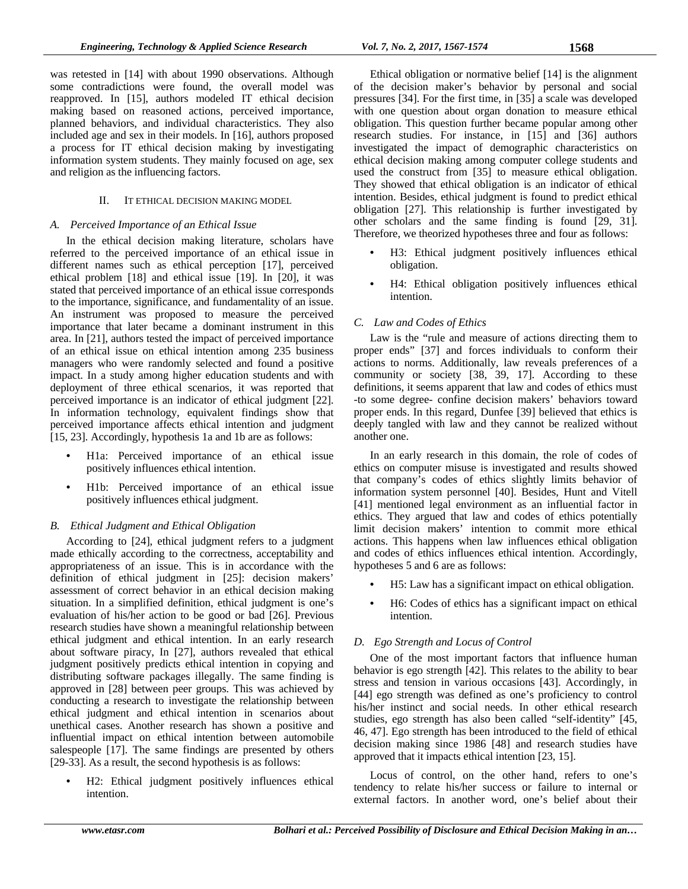was retested in [14] with about 1990 observations. Although some contradictions were found, the overall model was reapproved. In [15], authors modeled IT ethical decision making based on reasoned actions, perceived importance, planned behaviors, and individual characteristics. They also included age and sex in their models. In [16], authors proposed a process for IT ethical decision making by investigating information system students. They mainly focused on age, sex and religion as the influencing factors.

## II. IT ETHICAL DECISION MAKING MODEL

## *A. Perceived Importance of an Ethical Issue*

In the ethical decision making literature, scholars have referred to the perceived importance of an ethical issue in different names such as ethical perception [17], perceived ethical problem [18] and ethical issue [19]. In [20], it was stated that perceived importance of an ethical issue corresponds to the importance, significance, and fundamentality of an issue. An instrument was proposed to measure the perceived importance that later became a dominant instrument in this area. In [21], authors tested the impact of perceived importance of an ethical issue on ethical intention among 235 business managers who were randomly selected and found a positive impact. In a study among higher education students and with deployment of three ethical scenarios, it was reported that perceived importance is an indicator of ethical judgment [22]. In information technology, equivalent findings show that perceived importance affects ethical intention and judgment [15, 23]. Accordingly, hypothesis 1a and 1b are as follows:

- H1a: Perceived importance of an ethical issue positively influences ethical intention.
- H1b: Perceived importance of an ethical issue positively influences ethical judgment.

# *B. Ethical Judgment and Ethical Obligation*

According to [24], ethical judgment refers to a judgment made ethically according to the correctness, acceptability and appropriateness of an issue. This is in accordance with the definition of ethical judgment in [25]: decision makers' assessment of correct behavior in an ethical decision making situation. In a simplified definition, ethical judgment is one's evaluation of his/her action to be good or bad [26]. Previous research studies have shown a meaningful relationship between ethical judgment and ethical intention. In an early research about software piracy, In [27], authors revealed that ethical judgment positively predicts ethical intention in copying and distributing software packages illegally. The same finding is approved in [28] between peer groups. This was achieved by conducting a research to investigate the relationship between ethical judgment and ethical intention in scenarios about unethical cases. Another research has shown a positive and influential impact on ethical intention between automobile salespeople [17]. The same findings are presented by others [29-33]. As a result, the second hypothesis is as follows:

• H2: Ethical judgment positively influences ethical intention.

Ethical obligation or normative belief [14] is the alignment of the decision maker's behavior by personal and social pressures [34]. For the first time, in [35] a scale was developed with one question about organ donation to measure ethical obligation. This question further became popular among other research studies. For instance, in [15] and [36] authors investigated the impact of demographic characteristics on ethical decision making among computer college students and used the construct from [35] to measure ethical obligation. They showed that ethical obligation is an indicator of ethical intention. Besides, ethical judgment is found to predict ethical obligation [27]. This relationship is further investigated by other scholars and the same finding is found [29, 31]. Therefore, we theorized hypotheses three and four as follows:

- H3: Ethical judgment positively influences ethical obligation.
- H4: Ethical obligation positively influences ethical intention.

# *C. Law and Codes of Ethics*

Law is the "rule and measure of actions directing them to proper ends" [37] and forces individuals to conform their actions to norms. Additionally, law reveals preferences of a community or society [38, 39, 17]. According to these definitions, it seems apparent that law and codes of ethics must -to some degree- confine decision makers' behaviors toward proper ends. In this regard, Dunfee [39] believed that ethics is deeply tangled with law and they cannot be realized without another one.

In an early research in this domain, the role of codes of ethics on computer misuse is investigated and results showed that company's codes of ethics slightly limits behavior of information system personnel [40]. Besides, Hunt and Vitell [41] mentioned legal environment as an influential factor in ethics. They argued that law and codes of ethics potentially limit decision makers' intention to commit more ethical actions. This happens when law influences ethical obligation and codes of ethics influences ethical intention. Accordingly, hypotheses 5 and 6 are as follows:

- H5: Law has a significant impact on ethical obligation.
- H6: Codes of ethics has a significant impact on ethical intention.

# *D. Ego Strength and Locus of Control*

One of the most important factors that influence human behavior is ego strength [42]. This relates to the ability to bear stress and tension in various occasions [43]. Accordingly, in [44] ego strength was defined as one's proficiency to control his/her instinct and social needs. In other ethical research studies, ego strength has also been called "self-identity" [45, 46, 47]. Ego strength has been introduced to the field of ethical decision making since 1986 [48] and research studies have approved that it impacts ethical intention [23, 15].

Locus of control, on the other hand, refers to one's tendency to relate his/her success or failure to internal or external factors. In another word, one's belief about their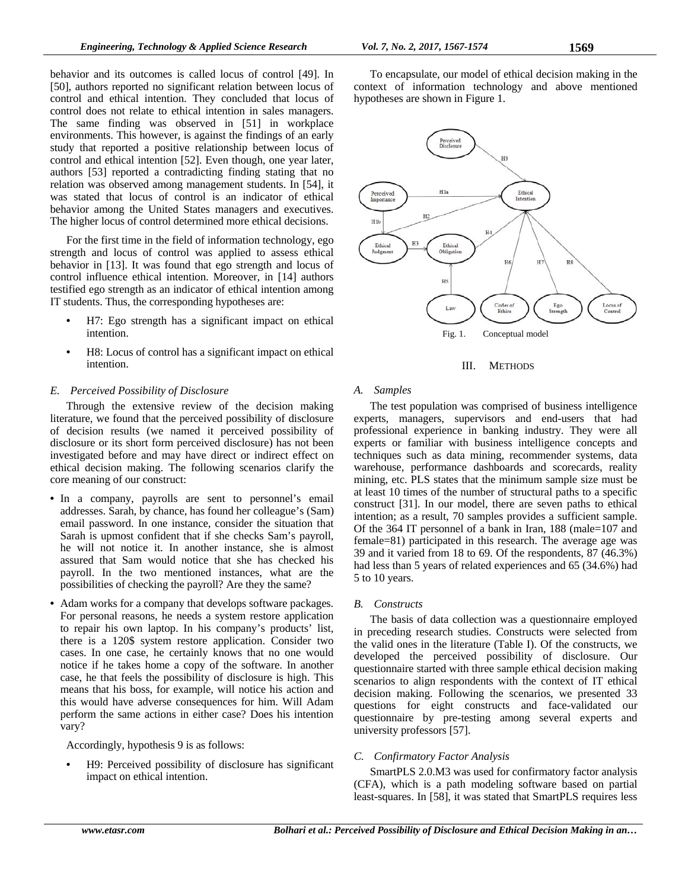behavior and its outcomes is called locus of control [49]. In [50], authors reported no significant relation between locus of control and ethical intention. They concluded that locus of control does not relate to ethical intention in sales managers. The same finding was observed in [51] in workplace environments. This however, is against the findings of an early study that reported a positive relationship between locus of control and ethical intention [52]. Even though, one year later, authors [53] reported a contradicting finding stating that no relation was observed among management students. In [54], it was stated that locus of control is an indicator of ethical behavior among the United States managers and executives. The higher locus of control determined more ethical decisions.

For the first time in the field of information technology, ego strength and locus of control was applied to assess ethical behavior in [13]. It was found that ego strength and locus of control influence ethical intention. Moreover, in [14] authors testified ego strength as an indicator of ethical intention among IT students. Thus, the corresponding hypotheses are:

- H7: Ego strength has a significant impact on ethical intention.
- H8: Locus of control has a significant impact on ethical intention.

## *E. Perceived Possibility of Disclosure*

Through the extensive review of the decision making literature, we found that the perceived possibility of disclosure of decision results (we named it perceived possibility of disclosure or its short form perceived disclosure) has not been investigated before and may have direct or indirect effect on ethical decision making. The following scenarios clarify the core meaning of our construct:

- In a company, payrolls are sent to personnel's email addresses. Sarah, by chance, has found her colleague's (Sam) email password. In one instance, consider the situation that Sarah is upmost confident that if she checks Sam's payroll, he will not notice it. In another instance, she is almost assured that Sam would notice that she has checked his payroll. In the two mentioned instances, what are the possibilities of checking the payroll? Are they the same?
- Adam works for a company that develops software packages. For personal reasons, he needs a system restore application to repair his own laptop. In his company's products' list, there is a 120\$ system restore application. Consider two cases. In one case, he certainly knows that no one would notice if he takes home a copy of the software. In another case, he that feels the possibility of disclosure is high. This means that his boss, for example, will notice his action and this would have adverse consequences for him. Will Adam perform the same actions in either case? Does his intention vary?

Accordingly, hypothesis 9 is as follows:

• H9: Perceived possibility of disclosure has significant impact on ethical intention.

To encapsulate, our model of ethical decision making in the context of information technology and above mentioned hypotheses are shown in Figure 1.



## III. METHODS

## *A. Samples*

The test population was comprised of business intelligence experts, managers, supervisors and end-users that had professional experience in banking industry. They were all experts or familiar with business intelligence concepts and techniques such as data mining, recommender systems, data warehouse, performance dashboards and scorecards, reality mining, etc. PLS states that the minimum sample size must be at least 10 times of the number of structural paths to a specific construct [31]. In our model, there are seven paths to ethical intention; as a result, 70 samples provides a sufficient sample. Of the 364 IT personnel of a bank in Iran, 188 (male=107 and female=81) participated in this research. The average age was 39 and it varied from 18 to 69. Of the respondents, 87 (46.3%) had less than 5 years of related experiences and 65 (34.6%) had 5 to 10 years.

## *B. Constructs*

The basis of data collection was a questionnaire employed in preceding research studies. Constructs were selected from the valid ones in the literature (Table I). Of the constructs, we developed the perceived possibility of disclosure. Our questionnaire started with three sample ethical decision making scenarios to align respondents with the context of IT ethical decision making. Following the scenarios, we presented 33 questions for eight constructs and face-validated our questionnaire by pre-testing among several experts and university professors [57].

## *C. Confirmatory Factor Analysis*

SmartPLS 2.0.M3 was used for confirmatory factor analysis (CFA), which is a path modeling software based on partial least-squares. In [58], it was stated that SmartPLS requires less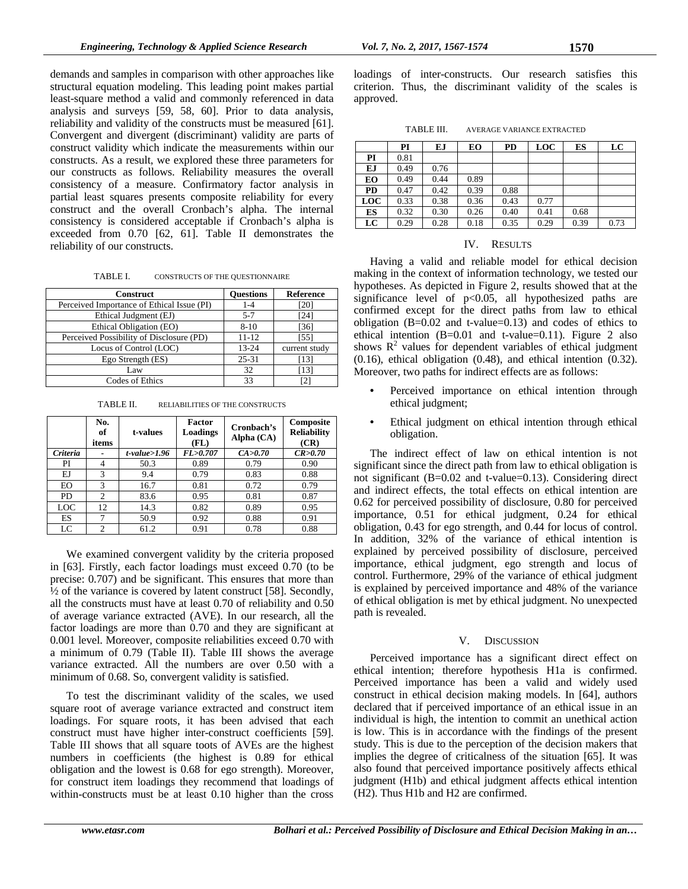demands and samples in comparison with other approaches like structural equation modeling. This leading point makes partial least-square method a valid and commonly referenced in data analysis and surveys [59, 58, 60]. Prior to data analysis, reliability and validity of the constructs must be measured [61]. Convergent and divergent (discriminant) validity are parts of construct validity which indicate the measurements within our constructs. As a result, we explored these three parameters for our constructs as follows. Reliability measures the overall consistency of a measure. Confirmatory factor analysis in partial least squares presents composite reliability for every construct and the overall Cronbach's alpha. The internal consistency is considered acceptable if Cronbach's alpha is exceeded from 0.70 [62, 61]. Table II demonstrates the reliability of our constructs.

TABLE I. CONSTRUCTS OF THE QUESTIONNAIRE

| <b>Construct</b>                           | <b>Ouestions</b> | <b>Reference</b> |
|--------------------------------------------|------------------|------------------|
| Perceived Importance of Ethical Issue (PI) | $1 - 4$          | [20]             |
| Ethical Judgment (EJ)                      | $5 - 7$          | [24]             |
| Ethical Obligation (EO)                    | $8 - 10$         | [36]             |
| Perceived Possibility of Disclosure (PD)   | $11 - 12$        | [55]             |
| Locus of Control (LOC)                     | $13 - 24$        | current study    |
| Ego Strength (ES)                          | $25 - 31$        | [13]             |
| Law                                        | 32               | [13]             |
| Codes of Ethics                            | 33               |                  |

TABLE II. RELIABILITIES OF THE CONSTRUCTS

|           | No.<br>of<br>items | t-values           | <b>Factor</b><br>Loadings<br>(FL) | Cronbach's<br>Alpha $(CA)$ | Composite<br><b>Reliability</b><br>(CR) |
|-----------|--------------------|--------------------|-----------------------------------|----------------------------|-----------------------------------------|
| Criteria  | ۰                  | $t$ -value $>1.96$ | FL > 0.707                        | CA > 0.70                  | CR > 0.70                               |
| PI        | 4                  | 50.3               | 0.89                              | 0.79                       | 0.90                                    |
| EJ        | 3                  | 9.4                | 0.79                              | 0.83                       | 0.88                                    |
| EO        | 3                  | 16.7               | 0.81                              | 0.72                       | 0.79                                    |
| <b>PD</b> | $\overline{c}$     | 83.6               | 0.95                              | 0.81                       | 0.87                                    |
| LOC       | 12                 | 14.3               | 0.82                              | 0.89                       | 0.95                                    |
| ES        | 7                  | 50.9               | 0.92                              | 0.88                       | 0.91                                    |
| LC        | $\overline{c}$     | 61.2               | 0.91                              | 0.78                       | 0.88                                    |

We examined convergent validity by the criteria proposed in [63]. Firstly, each factor loadings must exceed 0.70 (to be precise: 0.707) and be significant. This ensures that more than ½ of the variance is covered by latent construct [58]. Secondly, all the constructs must have at least 0.70 of reliability and 0.50 of average variance extracted (AVE). In our research, all the factor loadings are more than 0.70 and they are significant at 0.001 level. Moreover, composite reliabilities exceed 0.70 with a minimum of 0.79 (Table II). Table III shows the average variance extracted. All the numbers are over 0.50 with a minimum of 0.68. So, convergent validity is satisfied.

To test the discriminant validity of the scales, we used square root of average variance extracted and construct item loadings. For square roots, it has been advised that each construct must have higher inter-construct coefficients [59]. Table III shows that all square toots of AVEs are the highest numbers in coefficients (the highest is 0.89 for ethical obligation and the lowest is 0.68 for ego strength). Moreover, for construct item loadings they recommend that loadings of within-constructs must be at least 0.10 higher than the cross

loadings of inter-constructs. Our research satisfies this criterion. Thus, the discriminant validity of the scales is approved.

TABLE III. AVERAGE VARIANCE EXTRACTED

|     | PI   | ЕJ   | EО   | PD   | LOC  | ES   | LC   |
|-----|------|------|------|------|------|------|------|
| PI  | 0.81 |      |      |      |      |      |      |
| EJ  | 0.49 | 0.76 |      |      |      |      |      |
| EO  | 0.49 | 0.44 | 0.89 |      |      |      |      |
| PD  | 0.47 | 0.42 | 0.39 | 0.88 |      |      |      |
| LOC | 0.33 | 0.38 | 0.36 | 0.43 | 0.77 |      |      |
| ES  | 0.32 | 0.30 | 0.26 | 0.40 | 0.41 | 0.68 |      |
| LC  | 0.29 | 0.28 | 0.18 | 0.35 | 0.29 | 0.39 | 0.73 |

## IV. RESULTS

Having a valid and reliable model for ethical decision making in the context of information technology, we tested our hypotheses. As depicted in Figure 2, results showed that at the significance level of  $p<0.05$ , all hypothesized paths are confirmed except for the direct paths from law to ethical obligation  $(B=0.02$  and t-value=0.13) and codes of ethics to ethical intention (B=0.01 and t-value=0.11). Figure 2 also shows  $R<sup>2</sup>$  values for dependent variables of ethical judgment (0.16), ethical obligation (0.48), and ethical intention (0.32). Moreover, two paths for indirect effects are as follows:

- Perceived importance on ethical intention through ethical judgment;
- Ethical judgment on ethical intention through ethical obligation.

The indirect effect of law on ethical intention is not significant since the direct path from law to ethical obligation is not significant (B=0.02 and t-value=0.13). Considering direct and indirect effects, the total effects on ethical intention are 0.62 for perceived possibility of disclosure, 0.80 for perceived importance, 0.51 for ethical judgment, 0.24 for ethical obligation, 0.43 for ego strength, and 0.44 for locus of control. In addition, 32% of the variance of ethical intention is explained by perceived possibility of disclosure, perceived importance, ethical judgment, ego strength and locus of control. Furthermore, 29% of the variance of ethical judgment is explained by perceived importance and 48% of the variance of ethical obligation is met by ethical judgment. No unexpected path is revealed.

## V. DISCUSSION

Perceived importance has a significant direct effect on ethical intention; therefore hypothesis H1a is confirmed. Perceived importance has been a valid and widely used construct in ethical decision making models. In [64], authors declared that if perceived importance of an ethical issue in an individual is high, the intention to commit an unethical action is low. This is in accordance with the findings of the present study. This is due to the perception of the decision makers that implies the degree of criticalness of the situation [65]. It was also found that perceived importance positively affects ethical judgment (H1b) and ethical judgment affects ethical intention (H2). Thus H1b and H2 are confirmed.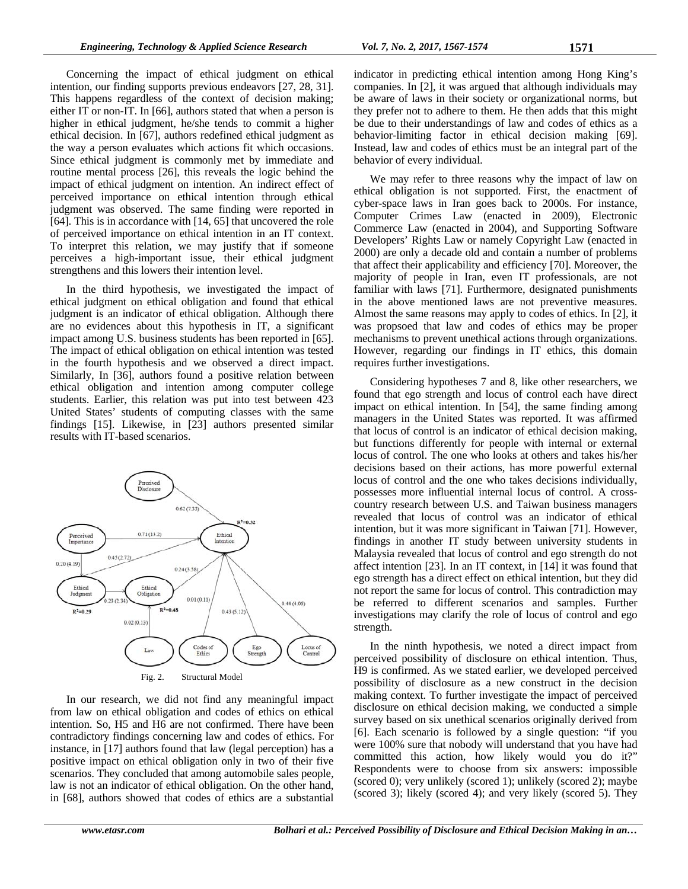Concerning the impact of ethical judgment on ethical intention, our finding supports previous endeavors [27, 28, 31]. This happens regardless of the context of decision making; either IT or non-IT. In [66], authors stated that when a person is higher in ethical judgment, he/she tends to commit a higher ethical decision. In [67], authors redefined ethical judgment as the way a person evaluates which actions fit which occasions. Since ethical judgment is commonly met by immediate and routine mental process [26], this reveals the logic behind the impact of ethical judgment on intention. An indirect effect of perceived importance on ethical intention through ethical judgment was observed. The same finding were reported in [64]. This is in accordance with [14, 65] that uncovered the role of perceived importance on ethical intention in an IT context. To interpret this relation, we may justify that if someone perceives a high-important issue, their ethical judgment strengthens and this lowers their intention level.

In the third hypothesis, we investigated the impact of ethical judgment on ethical obligation and found that ethical judgment is an indicator of ethical obligation. Although there are no evidences about this hypothesis in IT, a significant impact among U.S. business students has been reported in [65]. The impact of ethical obligation on ethical intention was tested in the fourth hypothesis and we observed a direct impact. Similarly, In [36], authors found a positive relation between ethical obligation and intention among computer college students. Earlier, this relation was put into test between 423 United States' students of computing classes with the same findings [15]. Likewise, in [23] authors presented similar results with IT-based scenarios.



In our research, we did not find any meaningful impact from law on ethical obligation and codes of ethics on ethical intention. So, H5 and H6 are not confirmed. There have been contradictory findings concerning law and codes of ethics. For instance, in [17] authors found that law (legal perception) has a positive impact on ethical obligation only in two of their five scenarios. They concluded that among automobile sales people, law is not an indicator of ethical obligation. On the other hand, in [68], authors showed that codes of ethics are a substantial

indicator in predicting ethical intention among Hong King's companies. In [2], it was argued that although individuals may be aware of laws in their society or organizational norms, but they prefer not to adhere to them. He then adds that this might be due to their understandings of law and codes of ethics as a behavior-limiting factor in ethical decision making [69]. Instead, law and codes of ethics must be an integral part of the behavior of every individual.

We may refer to three reasons why the impact of law on ethical obligation is not supported. First, the enactment of cyber-space laws in Iran goes back to 2000s. For instance, Computer Crimes Law (enacted in 2009), Electronic Commerce Law (enacted in 2004), and Supporting Software Developers' Rights Law or namely Copyright Law (enacted in 2000) are only a decade old and contain a number of problems that affect their applicability and efficiency [70]. Moreover, the majority of people in Iran, even IT professionals, are not familiar with laws [71]. Furthermore, designated punishments in the above mentioned laws are not preventive measures. Almost the same reasons may apply to codes of ethics. In [2], it was propsoed that law and codes of ethics may be proper mechanisms to prevent unethical actions through organizations. However, regarding our findings in IT ethics, this domain requires further investigations.

Considering hypotheses 7 and 8, like other researchers, we found that ego strength and locus of control each have direct impact on ethical intention. In [54], the same finding among managers in the United States was reported. It was affirmed that locus of control is an indicator of ethical decision making, but functions differently for people with internal or external locus of control. The one who looks at others and takes his/her decisions based on their actions, has more powerful external locus of control and the one who takes decisions individually, possesses more influential internal locus of control. A crosscountry research between U.S. and Taiwan business managers revealed that locus of control was an indicator of ethical intention, but it was more significant in Taiwan [71]. However, findings in another IT study between university students in Malaysia revealed that locus of control and ego strength do not affect intention [23]. In an IT context, in [14] it was found that ego strength has a direct effect on ethical intention, but they did not report the same for locus of control. This contradiction may be referred to different scenarios and samples. Further investigations may clarify the role of locus of control and ego strength.

In the ninth hypothesis, we noted a direct impact from perceived possibility of disclosure on ethical intention. Thus, H9 is confirmed. As we stated earlier, we developed perceived possibility of disclosure as a new construct in the decision making context. To further investigate the impact of perceived disclosure on ethical decision making, we conducted a simple survey based on six unethical scenarios originally derived from [6]. Each scenario is followed by a single question: "if you were 100% sure that nobody will understand that you have had committed this action, how likely would you do it?" Respondents were to choose from six answers: impossible (scored 0); very unlikely (scored 1); unlikely (scored 2); maybe (scored 3); likely (scored 4); and very likely (scored 5). They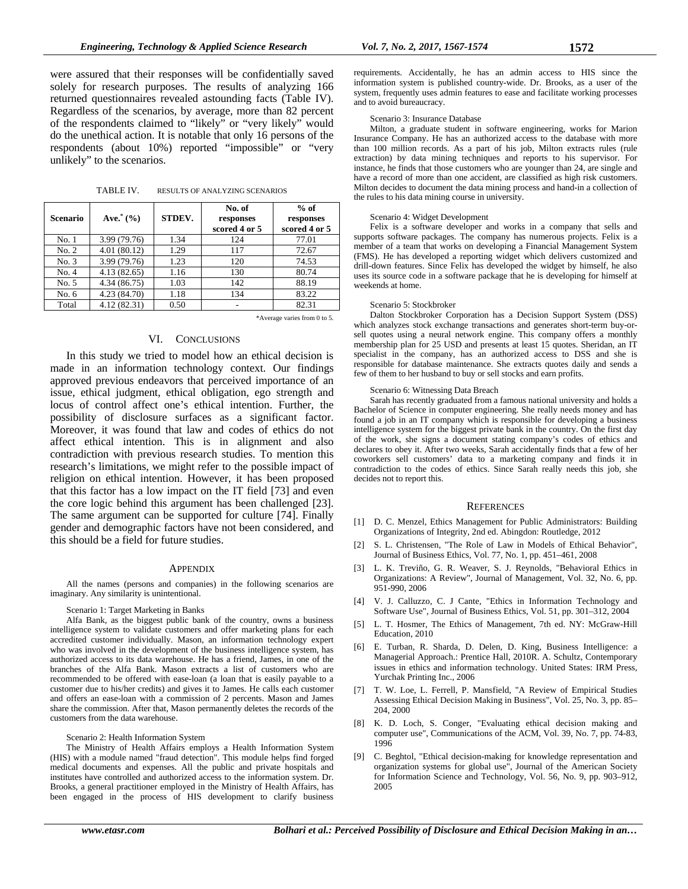were assured that their responses will be confidentially saved solely for research purposes. The results of analyzing 166 returned questionnaires revealed astounding facts (Table IV). Regardless of the scenarios, by average, more than 82 percent of the respondents claimed to "likely" or "very likely" would do the unethical action. It is notable that only 16 persons of the respondents (about 10%) reported "impossible" or "very unlikely" to the scenarios.

| <b>Scenario</b> | Ave. $(*)$   | STDEV. | No. of<br>responses<br>scored 4 or 5 | $%$ of<br>responses<br>scored 4 or 5 |
|-----------------|--------------|--------|--------------------------------------|--------------------------------------|
| No. 1           | 3.99 (79.76) | 1.34   | 124                                  | 77.01                                |
| No. 2           | 4.01(80.12)  | 1.29   | 117                                  | 72.67                                |
| No. 3           | 3.99 (79.76) | 1.23   | 120                                  | 74.53                                |
| No. 4           | 4.13(82.65)  | 1.16   | 130                                  | 80.74                                |
| No. 5           | 4.34 (86.75) | 1.03   | 142                                  | 88.19                                |
| No. $6$         | 4.23 (84.70) | 1.18   | 134                                  | 83.22                                |
| Total           | 4.12(82.31)  | 0.50   |                                      | 82.31                                |

TABLE IV. RESULTS OF ANALYZING SCENARIOS

\*Average varies from 0 to 5.

#### VI. CONCLUSIONS

In this study we tried to model how an ethical decision is made in an information technology context. Our findings approved previous endeavors that perceived importance of an issue, ethical judgment, ethical obligation, ego strength and locus of control affect one's ethical intention. Further, the possibility of disclosure surfaces as a significant factor. Moreover, it was found that law and codes of ethics do not affect ethical intention. This is in alignment and also contradiction with previous research studies. To mention this research's limitations, we might refer to the possible impact of religion on ethical intention. However, it has been proposed that this factor has a low impact on the IT field [73] and even the core logic behind this argument has been challenged [23]. The same argument can be supported for culture [74]. Finally gender and demographic factors have not been considered, and this should be a field for future studies.

#### **APPENDIX**

All the names (persons and companies) in the following scenarios are imaginary. Any similarity is unintentional.

#### Scenario 1: Target Marketing in Banks

Alfa Bank, as the biggest public bank of the country, owns a business intelligence system to validate customers and offer marketing plans for each accredited customer individually. Mason, an information technology expert who was involved in the development of the business intelligence system, has authorized access to its data warehouse. He has a friend, James, in one of the branches of the Alfa Bank. Mason extracts a list of customers who are recommended to be offered with ease-loan (a loan that is easily payable to a customer due to his/her credits) and gives it to James. He calls each customer and offers an ease-loan with a commission of 2 percents. Mason and James share the commission. After that, Mason permanently deletes the records of the customers from the data warehouse.

#### Scenario 2: Health Information System

The Ministry of Health Affairs employs a Health Information System (HIS) with a module named "fraud detection". This module helps find forged medical documents and expenses. All the public and private hospitals and institutes have controlled and authorized access to the information system. Dr. Brooks, a general practitioner employed in the Ministry of Health Affairs, has been engaged in the process of HIS development to clarify business

requirements. Accidentally, he has an admin access to HIS since the information system is published country-wide. Dr. Brooks, as a user of the system, frequently uses admin features to ease and facilitate working processes and to avoid bureaucracy.

#### Scenario 3: Insurance Database

Milton, a graduate student in software engineering, works for Marion Insurance Company. He has an authorized access to the database with more than 100 million records. As a part of his job, Milton extracts rules (rule extraction) by data mining techniques and reports to his supervisor. For instance, he finds that those customers who are younger than 24, are single and have a record of more than one accident, are classified as high risk customers. Milton decides to document the data mining process and hand-in a collection of the rules to his data mining course in university.

#### Scenario 4: Widget Development

Felix is a software developer and works in a company that sells and supports software packages. The company has numerous projects. Felix is a member of a team that works on developing a Financial Management System (FMS). He has developed a reporting widget which delivers customized and drill-down features. Since Felix has developed the widget by himself, he also uses its source code in a software package that he is developing for himself at weekends at home.

#### Scenario 5: Stockbroker

Dalton Stockbroker Corporation has a Decision Support System (DSS) which analyzes stock exchange transactions and generates short-term buy-orsell quotes using a neural network engine. This company offers a monthly membership plan for 25 USD and presents at least 15 quotes. Sheridan, an IT specialist in the company, has an authorized access to DSS and she is responsible for database maintenance. She extracts quotes daily and sends a few of them to her husband to buy or sell stocks and earn profits.

#### Scenario 6: Witnessing Data Breach

Sarah has recently graduated from a famous national university and holds a Bachelor of Science in computer engineering. She really needs money and has found a job in an IT company which is responsible for developing a business intelligence system for the biggest private bank in the country. On the first day of the work, she signs a document stating company's codes of ethics and declares to obey it. After two weeks, Sarah accidentally finds that a few of her coworkers sell customers' data to a marketing company and finds it in contradiction to the codes of ethics. Since Sarah really needs this job, she decides not to report this.

#### **REFERENCES**

- [1] D. C. Menzel, Ethics Management for Public Administrators: Building Organizations of Integrity, 2nd ed. Abingdon: Routledge, 2012
- [2] S. L. Christensen, "The Role of Law in Models of Ethical Behavior", Journal of Business Ethics, Vol. 77, No. 1, pp. 451–461, 2008
- [3] L. K. Treviño, G. R. Weaver, S. J. Reynolds, "Behavioral Ethics in Organizations: A Review", Journal of Management, Vol. 32, No. 6, pp. 951-990, 2006
- [4] V. J. Calluzzo, C. J Cante, "Ethics in Information Technology and Software Use", Journal of Business Ethics, Vol. 51, pp. 301–312, 2004
- [5] L. T. Hosmer, The Ethics of Management, 7th ed. NY: McGraw-Hill Education, 2010
- [6] E. Turban, R. Sharda, D. Delen, D. King, Business Intelligence: a Managerial Approach.: Prentice Hall, 2010R. A. Schultz, Contemporary issues in ethics and information technology. United States: IRM Press, Yurchak Printing Inc., 2006
- [7] T. W. Loe, L. Ferrell, P. Mansfield, "A Review of Empirical Studies Assessing Ethical Decision Making in Business", Vol. 25, No. 3, pp. 85– 204, 2000
- [8] K. D. Loch, S. Conger, "Evaluating ethical decision making and computer use", Communications of the ACM, Vol. 39, No. 7, pp. 74-83, 1996
- [9] C. Beghtol, "Ethical decision-making for knowledge representation and organization systems for global use", Journal of the American Society for Information Science and Technology, Vol. 56, No. 9, pp. 903–912, 2005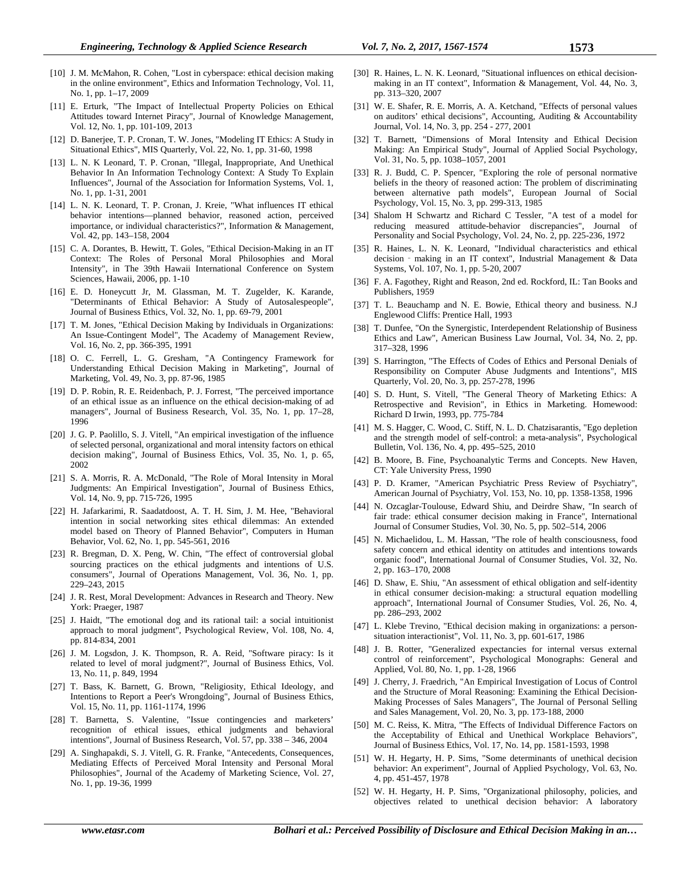- [10] J. M. McMahon, R. Cohen, "Lost in cyberspace: ethical decision making in the online environment", Ethics and Information Technology, Vol. 11, No. 1, pp. 1–17, 2009
- [11] E. Erturk, "The Impact of Intellectual Property Policies on Ethical Attitudes toward Internet Piracy", Journal of Knowledge Management, Vol. 12, No. 1, pp. 101-109, 2013
- [12] D. Banerjee, T. P. Cronan, T. W. Jones, "Modeling IT Ethics: A Study in Situational Ethics", MIS Quarterly, Vol. 22, No. 1, pp. 31-60, 1998
- [13] L. N. K Leonard, T. P. Cronan, "Illegal, Inappropriate, And Unethical Behavior In An Information Technology Context: A Study To Explain Influences", Journal of the Association for Information Systems, Vol. 1, No. 1, pp. 1-31, 2001
- [14] L. N. K. Leonard, T. P. Cronan, J. Kreie, "What influences IT ethical behavior intentions—planned behavior, reasoned action, perceived importance, or individual characteristics?", Information & Management, Vol. 42, pp. 143–158, 2004
- [15] C. A. Dorantes, B. Hewitt, T. Goles, "Ethical Decision-Making in an IT Context: The Roles of Personal Moral Philosophies and Moral Intensity", in The 39th Hawaii International Conference on System Sciences, Hawaii, 2006, pp. 1-10
- [16] E. D. Honeycutt Jr, M. Glassman, M. T. Zugelder, K. Karande, "Determinants of Ethical Behavior: A Study of Autosalespeople", Journal of Business Ethics, Vol. 32, No. 1, pp. 69-79, 2001
- [17] T. M. Jones, "Ethical Decision Making by Individuals in Organizations: An Issue-Contingent Model", The Academy of Management Review, Vol. 16, No. 2, pp. 366-395, 1991
- [18] O. C. Ferrell, L. G. Gresham, "A Contingency Framework for Understanding Ethical Decision Making in Marketing", Journal of Marketing, Vol. 49, No. 3, pp. 87-96, 1985
- [19] D. P. Robin, R. E. Reidenbach, P. J. Forrest, "The perceived importance of an ethical issue as an influence on the ethical decision-making of ad managers", Journal of Business Research, Vol. 35, No. 1, pp. 17–28, 1996
- [20] J. G. P. Paolillo, S. J. Vitell, "An empirical investigation of the influence of selected personal, organizational and moral intensity factors on ethical decision making", Journal of Business Ethics, Vol. 35, No. 1, p. 65, 2002
- [21] S. A. Morris, R. A. McDonald, "The Role of Moral Intensity in Moral Judgments: An Empirical Investigation", Journal of Business Ethics, Vol. 14, No. 9, pp. 715-726, 1995
- [22] H. Jafarkarimi, R. Saadatdoost, A. T. H. Sim, J. M. Hee, "Behavioral intention in social networking sites ethical dilemmas: An extended model based on Theory of Planned Behavior", Computers in Human Behavior, Vol. 62, No. 1, pp. 545-561, 2016
- [23] R. Bregman, D. X. Peng, W. Chin, "The effect of controversial global sourcing practices on the ethical judgments and intentions of U.S. consumers", Journal of Operations Management, Vol. 36, No. 1, pp. 229–243, 2015
- [24] J. R. Rest, Moral Development: Advances in Research and Theory. New York: Praeger, 1987
- [25] J. Haidt, "The emotional dog and its rational tail: a social intuitionist approach to moral judgment", Psychological Review, Vol. 108, No. 4, pp. 814-834, 2001
- [26] J. M. Logsdon, J. K. Thompson, R. A. Reid, "Software piracy: Is it related to level of moral judgment?", Journal of Business Ethics, Vol. 13, No. 11, p. 849, 1994
- [27] T. Bass, K. Barnett, G. Brown, "Religiosity, Ethical Ideology, and Intentions to Report a Peer's Wrongdoing", Journal of Business Ethics, Vol. 15, No. 11, pp. 1161-1174, 1996
- [28] T. Barnetta, S. Valentine, "Issue contingencies and marketers' recognition of ethical issues, ethical judgments and behavioral intentions", Journal of Business Research, Vol. 57, pp. 338 – 346, 2004
- [29] A. Singhapakdi, S. J. Vitell, G. R. Franke, "Antecedents, Consequences, Mediating Effects of Perceived Moral Intensity and Personal Moral Philosophies", Journal of the Academy of Marketing Science, Vol. 27, No. 1, pp. 19-36, 1999
- [30] R. Haines, L. N. K. Leonard, "Situational influences on ethical decisionmaking in an IT context", Information & Management, Vol. 44, No. 3, pp. 313–320, 2007
- [31] W. E. Shafer, R. E. Morris, A. A. Ketchand, "Effects of personal values on auditors' ethical decisions", Accounting, Auditing & Accountability Journal, Vol. 14, No. 3, pp. 254 - 277, 2001
- [32] T. Barnett, "Dimensions of Moral Intensity and Ethical Decision Making: An Empirical Study", Journal of Applied Social Psychology, Vol. 31, No. 5, pp. 1038–1057, 2001
- [33] R. J. Budd, C. P. Spencer, "Exploring the role of personal normative beliefs in the theory of reasoned action: The problem of discriminating between alternative path models", European Journal of Social Psychology, Vol. 15, No. 3, pp. 299-313, 1985
- [34] Shalom H Schwartz and Richard C Tessler, "A test of a model for reducing measured attitude-behavior discrepancies", Journal of Personality and Social Psychology, Vol. 24, No. 2, pp. 225-236, 1972
- [35] R. Haines, L. N. K. Leonard, "Individual characteristics and ethical decision‐making in an IT context", Industrial Management & Data Systems, Vol. 107, No. 1, pp. 5-20, 2007
- [36] F. A. Fagothey, Right and Reason, 2nd ed. Rockford, IL: Tan Books and Publishers, 1959
- [37] T. L. Beauchamp and N. E. Bowie, Ethical theory and business. N.J Englewood Cliffs: Prentice Hall, 1993
- [38] T. Dunfee, "On the Synergistic, Interdependent Relationship of Business Ethics and Law", American Business Law Journal, Vol. 34, No. 2, pp. 317–328, 1996
- [39] S. Harrington, "The Effects of Codes of Ethics and Personal Denials of Responsibility on Computer Abuse Judgments and Intentions", MIS Quarterly, Vol. 20, No. 3, pp. 257-278, 1996
- [40] S. D. Hunt, S. Vitell, "The General Theory of Marketing Ethics: A Retrospective and Revision", in Ethics in Marketing. Homewood: Richard D Irwin, 1993, pp. 775-784
- [41] M. S. Hagger, C. Wood, C. Stiff, N. L. D. Chatzisarantis, "Ego depletion and the strength model of self-control: a meta-analysis", Psychological Bulletin, Vol. 136, No. 4, pp. 495–525, 2010
- [42] B. Moore, B. Fine, Psychoanalytic Terms and Concepts. New Haven, CT: Yale University Press, 1990
- [43] P. D. Kramer, "American Psychiatric Press Review of Psychiatry", American Journal of Psychiatry, Vol. 153, No. 10, pp. 1358-1358, 1996
- [44] N. Ozcaglar-Toulouse, Edward Shiu, and Deirdre Shaw, "In search of fair trade: ethical consumer decision making in France", International Journal of Consumer Studies, Vol. 30, No. 5, pp. 502–514, 2006
- [45] N. Michaelidou, L. M. Hassan, "The role of health consciousness, food safety concern and ethical identity on attitudes and intentions towards organic food", International Journal of Consumer Studies, Vol. 32, No. 2, pp. 163–170, 2008
- [46] D. Shaw, E. Shiu, "An assessment of ethical obligation and self-identity in ethical consumer decision-making: a structural equation modelling approach", International Journal of Consumer Studies, Vol. 26, No. 4, pp. 286–293, 2002
- [47] L. Klebe Trevino, "Ethical decision making in organizations: a personsituation interactionist", Vol. 11, No. 3, pp. 601-617, 1986
- [48] J. B. Rotter, "Generalized expectancies for internal versus external control of reinforcement", Psychological Monographs: General and Applied, Vol. 80, No. 1, pp. 1-28, 1966
- [49] J. Cherry, J. Fraedrich, "An Empirical Investigation of Locus of Control and the Structure of Moral Reasoning: Examining the Ethical Decision-Making Processes of Sales Managers", The Journal of Personal Selling and Sales Management, Vol. 20, No. 3, pp. 173-188, 2000
- [50] M. C. Reiss, K. Mitra, "The Effects of Individual Difference Factors on the Acceptability of Ethical and Unethical Workplace Behaviors", Journal of Business Ethics, Vol. 17, No. 14, pp. 1581-1593, 1998
- [51] W. H. Hegarty, H. P. Sims, "Some determinants of unethical decision behavior: An experiment", Journal of Applied Psychology, Vol. 63, No. 4, pp. 451-457, 1978
- [52] W. H. Hegarty, H. P. Sims, "Organizational philosophy, policies, and objectives related to unethical decision behavior: A laboratory